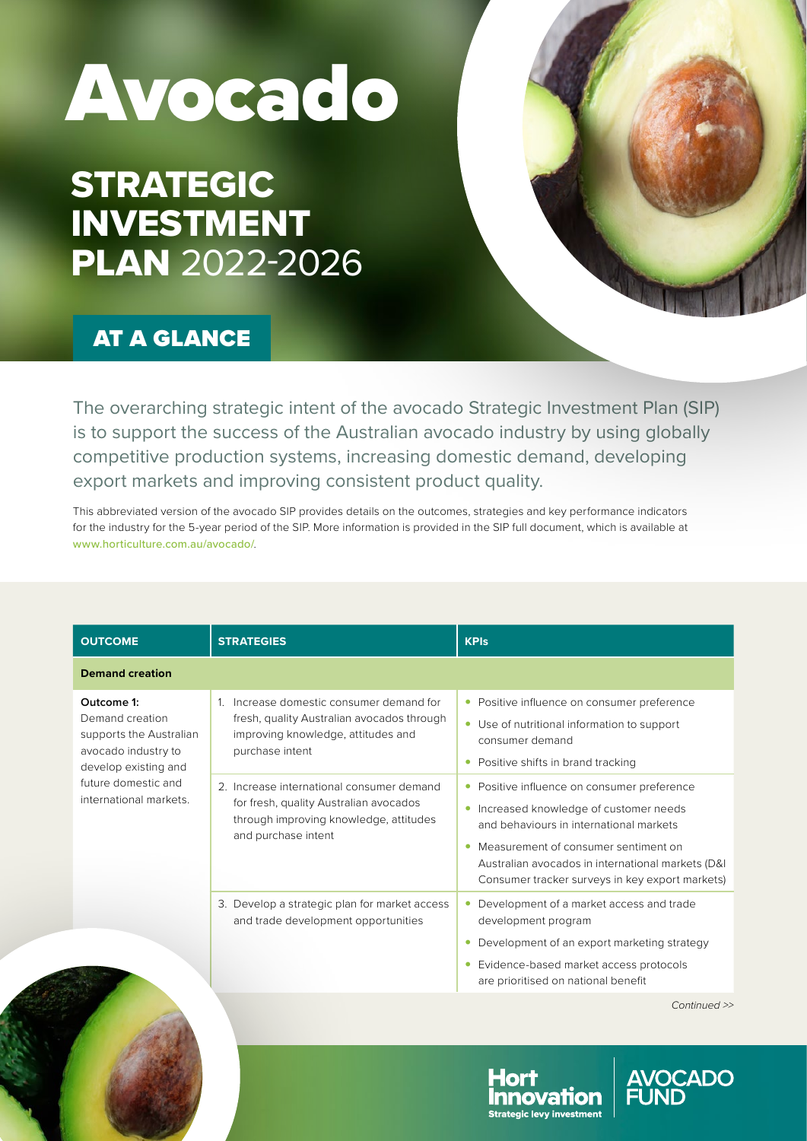## Avocado

## STRATEGIC INVESTMENT PLAN 2022-2026

## AT A GLANCE

The overarching strategic intent of the avocado Strategic Investment Plan (SIP) is to support the success of the Australian avocado industry by using globally competitive production systems, increasing domestic demand, developing export markets and improving consistent product quality.

This abbreviated version of the avocado SIP provides details on the outcomes, strategies and key performance indicators for the industry for the 5-year period of the SIP. More information is provided in the SIP full document, which is available at [www.horticulture.com.au/avocado/](http://www.horticulture.com.au/avocado/).

| <b>OUTCOME</b>                                                                                                                                           | <b>STRATEGIES</b>                                                                                                                                    | <b>KPIs</b>                                                                                                                                                                                                                                                                      |
|----------------------------------------------------------------------------------------------------------------------------------------------------------|------------------------------------------------------------------------------------------------------------------------------------------------------|----------------------------------------------------------------------------------------------------------------------------------------------------------------------------------------------------------------------------------------------------------------------------------|
| <b>Demand creation</b>                                                                                                                                   |                                                                                                                                                      |                                                                                                                                                                                                                                                                                  |
| Outcome 1:<br>Demand creation<br>supports the Australian<br>avocado industry to<br>develop existing and<br>future domestic and<br>international markets. | 1. Increase domestic consumer demand for<br>fresh, quality Australian avocados through<br>improving knowledge, attitudes and<br>purchase intent      | • Positive influence on consumer preference<br>• Use of nutritional information to support<br>consumer demand<br>Positive shifts in brand tracking<br>$\bullet$                                                                                                                  |
|                                                                                                                                                          | 2. Increase international consumer demand<br>for fresh, quality Australian avocados<br>through improving knowledge, attitudes<br>and purchase intent | • Positive influence on consumer preference<br>Increased knowledge of customer needs<br>and behaviours in international markets<br>Measurement of consumer sentiment on<br>Australian avocados in international markets (D&I)<br>Consumer tracker surveys in key export markets) |
|                                                                                                                                                          | 3. Develop a strategic plan for market access<br>and trade development opportunities                                                                 | Development of a market access and trade<br>development program<br>Development of an export marketing strategy<br>Evidence-based market access protocols<br>are prioritised on national benefit                                                                                  |



CADO

ovafion **Strategic levy investment**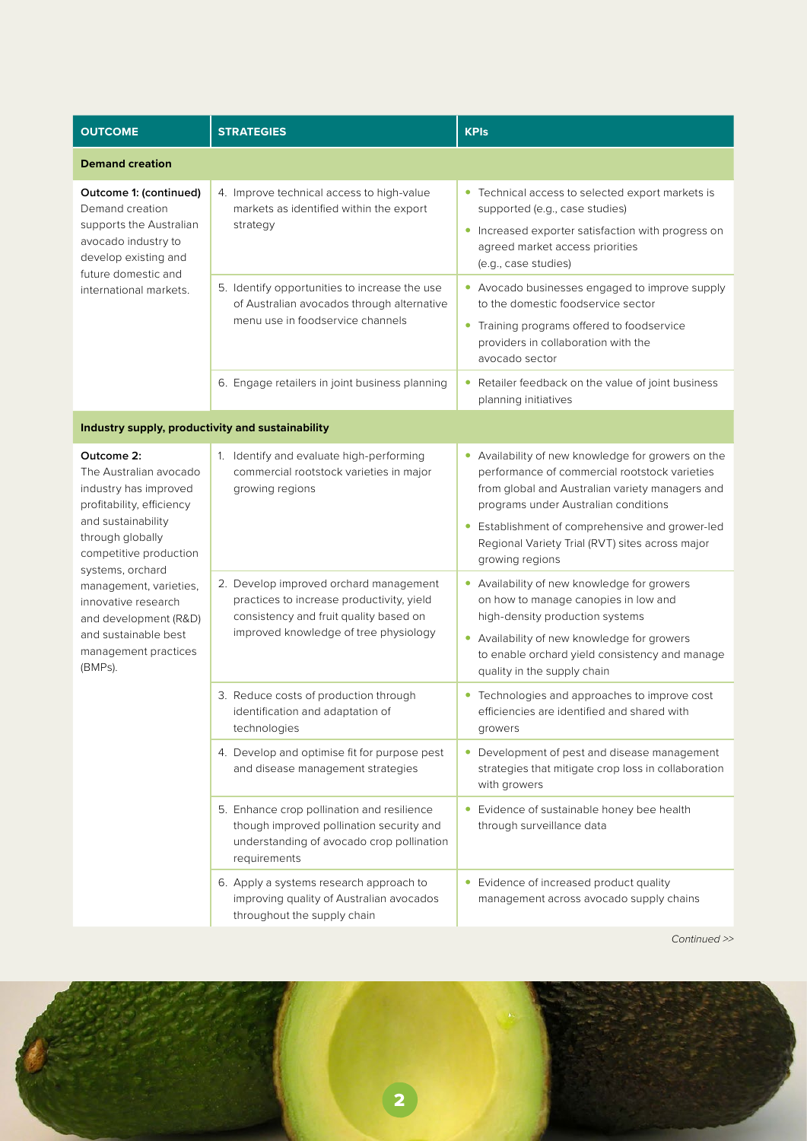| <b>OUTCOME</b>                                                                                                                                                                                                                                                                                                          | <b>STRATEGIES</b>                                                                                                                                                      | <b>KPIs</b>                                                                                                                                                                                                                                                                                                             |  |  |
|-------------------------------------------------------------------------------------------------------------------------------------------------------------------------------------------------------------------------------------------------------------------------------------------------------------------------|------------------------------------------------------------------------------------------------------------------------------------------------------------------------|-------------------------------------------------------------------------------------------------------------------------------------------------------------------------------------------------------------------------------------------------------------------------------------------------------------------------|--|--|
| <b>Demand creation</b>                                                                                                                                                                                                                                                                                                  |                                                                                                                                                                        |                                                                                                                                                                                                                                                                                                                         |  |  |
| Outcome 1: (continued)<br>Demand creation<br>supports the Australian<br>avocado industry to<br>develop existing and<br>future domestic and<br>international markets.                                                                                                                                                    | 4. Improve technical access to high-value<br>markets as identified within the export<br>strategy                                                                       | • Technical access to selected export markets is<br>supported (e.g., case studies)<br>• Increased exporter satisfaction with progress on<br>agreed market access priorities<br>(e.g., case studies)                                                                                                                     |  |  |
|                                                                                                                                                                                                                                                                                                                         | 5. Identify opportunities to increase the use<br>of Australian avocados through alternative<br>menu use in foodservice channels                                        | • Avocado businesses engaged to improve supply<br>to the domestic foodservice sector<br>• Training programs offered to foodservice<br>providers in collaboration with the<br>avocado sector                                                                                                                             |  |  |
|                                                                                                                                                                                                                                                                                                                         | 6. Engage retailers in joint business planning                                                                                                                         | • Retailer feedback on the value of joint business<br>planning initiatives                                                                                                                                                                                                                                              |  |  |
| Industry supply, productivity and sustainability                                                                                                                                                                                                                                                                        |                                                                                                                                                                        |                                                                                                                                                                                                                                                                                                                         |  |  |
| Outcome 2:<br>The Australian avocado<br>industry has improved<br>profitability, efficiency<br>and sustainability<br>through globally<br>competitive production<br>systems, orchard<br>management, varieties,<br>innovative research<br>and development (R&D)<br>and sustainable best<br>management practices<br>(BMPs). | 1. Identify and evaluate high-performing<br>commercial rootstock varieties in major<br>growing regions                                                                 | • Availability of new knowledge for growers on the<br>performance of commercial rootstock varieties<br>from global and Australian variety managers and<br>programs under Australian conditions<br>• Establishment of comprehensive and grower-led<br>Regional Variety Trial (RVT) sites across major<br>growing regions |  |  |
|                                                                                                                                                                                                                                                                                                                         | 2. Develop improved orchard management<br>practices to increase productivity, yield<br>consistency and fruit quality based on<br>improved knowledge of tree physiology | • Availability of new knowledge for growers<br>on how to manage canopies in low and<br>high-density production systems<br>• Availability of new knowledge for growers<br>to enable orchard yield consistency and manage<br>quality in the supply chain                                                                  |  |  |
|                                                                                                                                                                                                                                                                                                                         | 3. Reduce costs of production through<br>identification and adaptation of<br>technologies                                                                              | • Technologies and approaches to improve cost<br>efficiencies are identified and shared with<br>growers                                                                                                                                                                                                                 |  |  |
|                                                                                                                                                                                                                                                                                                                         | 4. Develop and optimise fit for purpose pest<br>and disease management strategies                                                                                      | • Development of pest and disease management<br>strategies that mitigate crop loss in collaboration<br>with growers                                                                                                                                                                                                     |  |  |
|                                                                                                                                                                                                                                                                                                                         | 5. Enhance crop pollination and resilience<br>though improved pollination security and<br>understanding of avocado crop pollination<br>requirements                    | • Evidence of sustainable honey bee health<br>through surveillance data                                                                                                                                                                                                                                                 |  |  |
|                                                                                                                                                                                                                                                                                                                         | 6. Apply a systems research approach to<br>improving quality of Australian avocados<br>throughout the supply chain                                                     | • Evidence of increased product quality<br>management across avocado supply chains                                                                                                                                                                                                                                      |  |  |

*Continued >>*

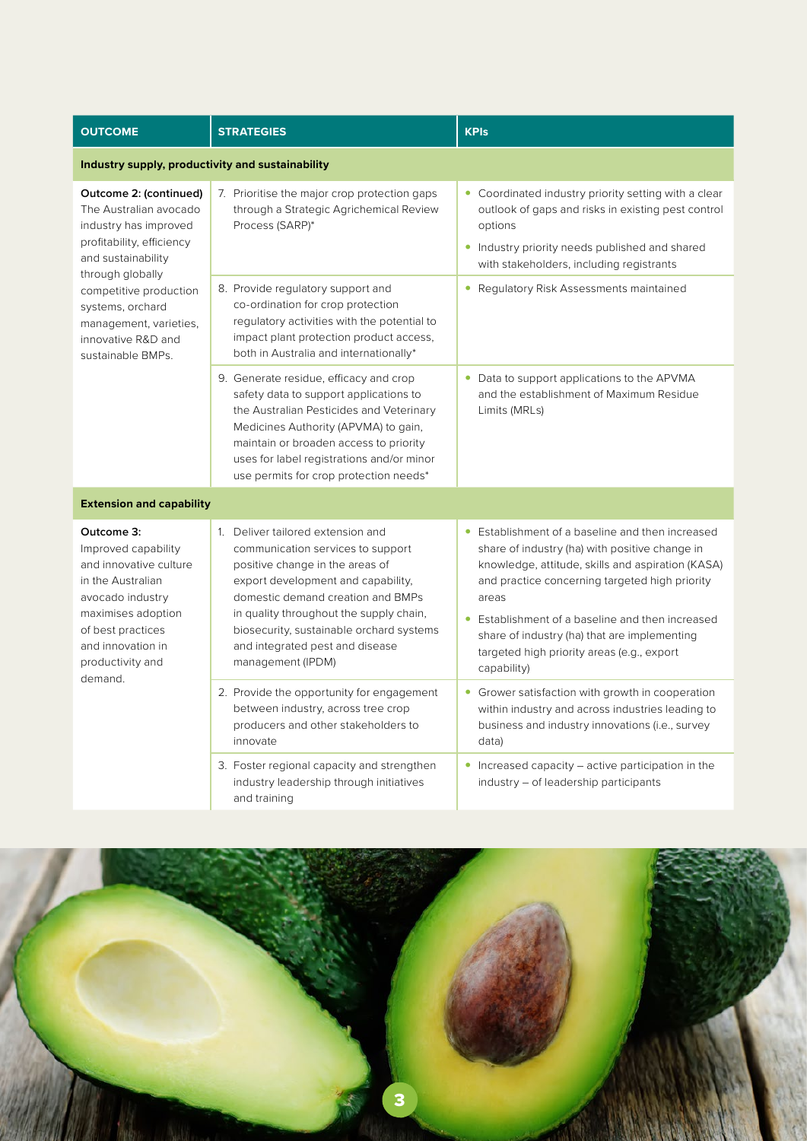| <b>OUTCOME</b>                                                                                                                                                                                                                                                      | <b>STRATEGIES</b>                                                                                                                                                                                                                                                                                                                   | <b>KPIs</b>                                                                                                                                                                                                                                                                                                                                                                       |  |  |
|---------------------------------------------------------------------------------------------------------------------------------------------------------------------------------------------------------------------------------------------------------------------|-------------------------------------------------------------------------------------------------------------------------------------------------------------------------------------------------------------------------------------------------------------------------------------------------------------------------------------|-----------------------------------------------------------------------------------------------------------------------------------------------------------------------------------------------------------------------------------------------------------------------------------------------------------------------------------------------------------------------------------|--|--|
| Industry supply, productivity and sustainability                                                                                                                                                                                                                    |                                                                                                                                                                                                                                                                                                                                     |                                                                                                                                                                                                                                                                                                                                                                                   |  |  |
| Outcome 2: (continued)<br>The Australian avocado<br>industry has improved<br>profitability, efficiency<br>and sustainability<br>through globally<br>competitive production<br>systems, orchard<br>management, varieties,<br>innovative R&D and<br>sustainable BMPs. | 7. Prioritise the major crop protection gaps<br>through a Strategic Agrichemical Review<br>Process (SARP)*                                                                                                                                                                                                                          | • Coordinated industry priority setting with a clear<br>outlook of gaps and risks in existing pest control<br>options<br>• Industry priority needs published and shared<br>with stakeholders, including registrants                                                                                                                                                               |  |  |
|                                                                                                                                                                                                                                                                     | 8. Provide regulatory support and<br>co-ordination for crop protection<br>regulatory activities with the potential to<br>impact plant protection product access,<br>both in Australia and internationally*                                                                                                                          | • Regulatory Risk Assessments maintained                                                                                                                                                                                                                                                                                                                                          |  |  |
|                                                                                                                                                                                                                                                                     | 9. Generate residue, efficacy and crop<br>safety data to support applications to<br>the Australian Pesticides and Veterinary<br>Medicines Authority (APVMA) to gain,<br>maintain or broaden access to priority<br>uses for label registrations and/or minor<br>use permits for crop protection needs*                               | • Data to support applications to the APVMA<br>and the establishment of Maximum Residue<br>Limits (MRLs)                                                                                                                                                                                                                                                                          |  |  |
| <b>Extension and capability</b>                                                                                                                                                                                                                                     |                                                                                                                                                                                                                                                                                                                                     |                                                                                                                                                                                                                                                                                                                                                                                   |  |  |
| Outcome 3:<br>Improved capability<br>and innovative culture<br>in the Australian<br>avocado industry<br>maximises adoption<br>of best practices<br>and innovation in<br>productivity and<br>demand.                                                                 | 1. Deliver tailored extension and<br>communication services to support<br>positive change in the areas of<br>export development and capability,<br>domestic demand creation and BMPs<br>in quality throughout the supply chain,<br>biosecurity, sustainable orchard systems<br>and integrated pest and disease<br>management (IPDM) | • Establishment of a baseline and then increased<br>share of industry (ha) with positive change in<br>knowledge, attitude, skills and aspiration (KASA)<br>and practice concerning targeted high priority<br>areas<br>Establishment of a baseline and then increased<br>share of industry (ha) that are implementing<br>targeted high priority areas (e.g., export<br>capability) |  |  |
|                                                                                                                                                                                                                                                                     | 2. Provide the opportunity for engagement<br>between industry, across tree crop<br>producers and other stakeholders to<br>innovate                                                                                                                                                                                                  | • Grower satisfaction with growth in cooperation<br>within industry and across industries leading to<br>business and industry innovations (i.e., survey<br>data)                                                                                                                                                                                                                  |  |  |
|                                                                                                                                                                                                                                                                     | 3. Foster regional capacity and strengthen<br>industry leadership through initiatives<br>and training                                                                                                                                                                                                                               | • Increased capacity – active participation in the<br>industry – of leadership participants                                                                                                                                                                                                                                                                                       |  |  |